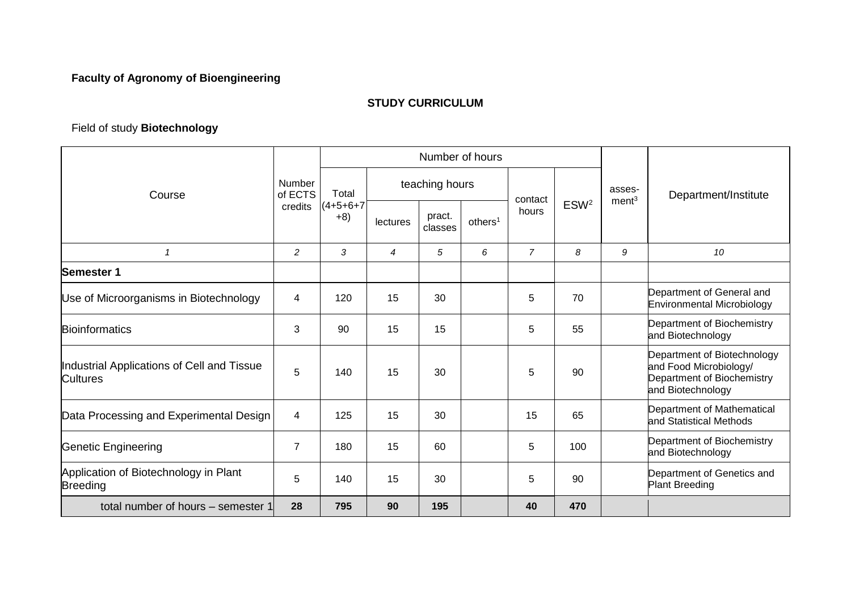## **Faculty of Agronomy of Bioengineering**

## **STUDY CURRICULUM**

## Field of study **Biotechnology**

| Course                                                        | <b>Number</b><br>of ECTS<br>credits | Number of hours               |                |                   |                     |                |                  |                   |                                                                                                          |
|---------------------------------------------------------------|-------------------------------------|-------------------------------|----------------|-------------------|---------------------|----------------|------------------|-------------------|----------------------------------------------------------------------------------------------------------|
|                                                               |                                     | Total<br>$(4+5+6+7)$<br>$+8)$ | teaching hours |                   |                     | contact        |                  | asses-            | Department/Institute                                                                                     |
|                                                               |                                     |                               | lectures       | pract.<br>classes | others <sup>1</sup> | hours          | ESW <sup>2</sup> | ment <sup>3</sup> |                                                                                                          |
| 1                                                             | 2                                   | 3                             | $\overline{4}$ | 5                 | 6                   | $\overline{7}$ | 8                | 9                 | 10                                                                                                       |
| Semester 1                                                    |                                     |                               |                |                   |                     |                |                  |                   |                                                                                                          |
| Use of Microorganisms in Biotechnology                        | 4                                   | 120                           | 15             | 30                |                     | 5              | 70               |                   | Department of General and<br>Environmental Microbiology                                                  |
| <b>Bioinformatics</b>                                         | 3                                   | 90                            | 15             | 15                |                     | 5              | 55               |                   | Department of Biochemistry<br>and Biotechnology                                                          |
| Industrial Applications of Cell and Tissue<br><b>Cultures</b> | 5                                   | 140                           | 15             | 30                |                     | 5              | 90               |                   | Department of Biotechnology<br>and Food Microbiology/<br>Department of Biochemistry<br>and Biotechnology |
| Data Processing and Experimental Design                       | 4                                   | 125                           | 15             | 30                |                     | 15             | 65               |                   | Department of Mathematical<br>and Statistical Methods                                                    |
| <b>Genetic Engineering</b>                                    | $\overline{7}$                      | 180                           | 15             | 60                |                     | 5              | 100              |                   | Department of Biochemistry<br>and Biotechnology                                                          |
| Application of Biotechnology in Plant<br><b>Breeding</b>      | 5                                   | 140                           | 15             | 30                |                     | 5              | 90               |                   | Department of Genetics and<br><b>Plant Breeding</b>                                                      |
| total number of hours – semester 1                            | 28                                  | 795                           | 90             | 195               |                     | 40             | 470              |                   |                                                                                                          |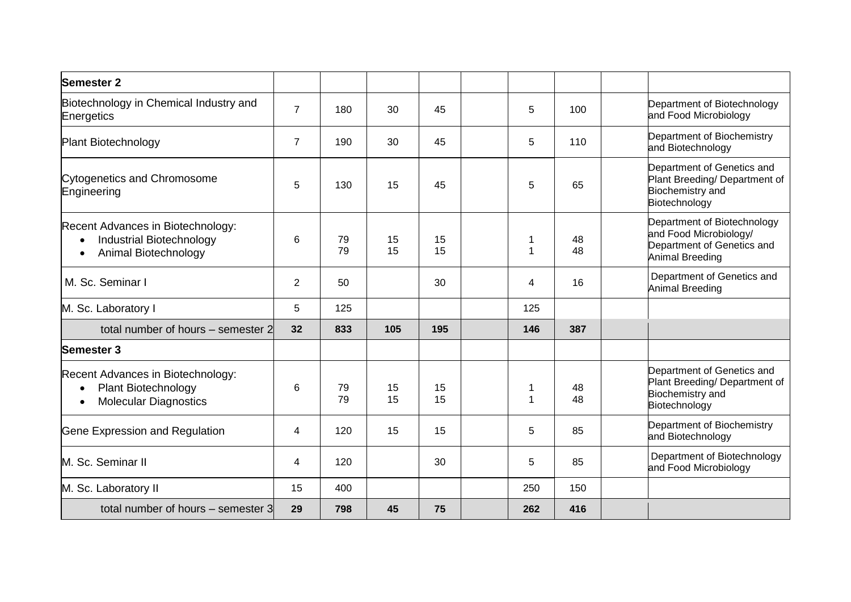| <b>Semester 2</b>                                                                                                      |                |          |          |          |     |          |                                                                                                        |
|------------------------------------------------------------------------------------------------------------------------|----------------|----------|----------|----------|-----|----------|--------------------------------------------------------------------------------------------------------|
| Biotechnology in Chemical Industry and<br>Energetics                                                                   | $\overline{7}$ | 180      | 30       | 45       | 5   | 100      | Department of Biotechnology<br>and Food Microbiology                                                   |
| <b>Plant Biotechnology</b>                                                                                             | $\overline{7}$ | 190      | 30       | 45       | 5   | 110      | Department of Biochemistry<br>and Biotechnology                                                        |
| <b>Cytogenetics and Chromosome</b><br>Engineering                                                                      | 5              | 130      | 15       | 45       | 5   | 65       | Department of Genetics and<br>Plant Breeding/ Department of<br>Biochemistry and<br>Biotechnology       |
| Recent Advances in Biotechnology:<br><b>Industrial Biotechnology</b><br>$\bullet$<br>Animal Biotechnology<br>$\bullet$ | 6              | 79<br>79 | 15<br>15 | 15<br>15 | 1   | 48<br>48 | Department of Biotechnology<br>and Food Microbiology/<br>Department of Genetics and<br>Animal Breeding |
| M. Sc. Seminar I                                                                                                       | $\overline{2}$ | 50       |          | 30       | 4   | 16       | Department of Genetics and<br>Animal Breeding                                                          |
| M. Sc. Laboratory I                                                                                                    | 5              | 125      |          |          | 125 |          |                                                                                                        |
| total number of hours – semester 2                                                                                     | 32             | 833      | 105      | 195      | 146 | 387      |                                                                                                        |
| Semester 3                                                                                                             |                |          |          |          |     |          |                                                                                                        |
| Recent Advances in Biotechnology:<br><b>Plant Biotechnology</b><br>$\bullet$<br><b>Molecular Diagnostics</b>           | 6              | 79<br>79 | 15<br>15 | 15<br>15 | 1   | 48<br>48 | Department of Genetics and<br>Plant Breeding/ Department of<br>Biochemistry and<br>Biotechnology       |
| Gene Expression and Regulation                                                                                         | 4              | 120      | 15       | 15       | 5   | 85       | Department of Biochemistry<br>and Biotechnology                                                        |
| M. Sc. Seminar II                                                                                                      | 4              | 120      |          | 30       | 5   | 85       | Department of Biotechnology<br>and Food Microbiology                                                   |
| M. Sc. Laboratory II                                                                                                   | 15             | 400      |          |          | 250 | 150      |                                                                                                        |
| total number of hours – semester 3                                                                                     | 29             | 798      | 45       | 75       | 262 | 416      |                                                                                                        |